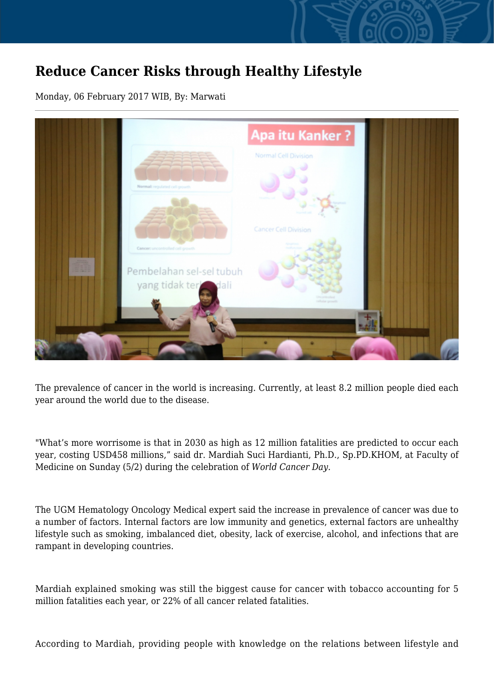## **Reduce Cancer Risks through Healthy Lifestyle**

Monday, 06 February 2017 WIB, By: Marwati



The prevalence of cancer in the world is increasing. Currently, at least 8.2 million people died each year around the world due to the disease.

"What's more worrisome is that in 2030 as high as 12 million fatalities are predicted to occur each year, costing USD458 millions," said dr. Mardiah Suci Hardianti, Ph.D., Sp.PD.KHOM, at Faculty of Medicine on Sunday (5/2) during the celebration of *World Cancer Day.*

The UGM Hematology Oncology Medical expert said the increase in prevalence of cancer was due to a number of factors. Internal factors are low immunity and genetics, external factors are unhealthy lifestyle such as smoking, imbalanced diet, obesity, lack of exercise, alcohol, and infections that are rampant in developing countries.

Mardiah explained smoking was still the biggest cause for cancer with tobacco accounting for 5 million fatalities each year, or 22% of all cancer related fatalities.

According to Mardiah, providing people with knowledge on the relations between lifestyle and